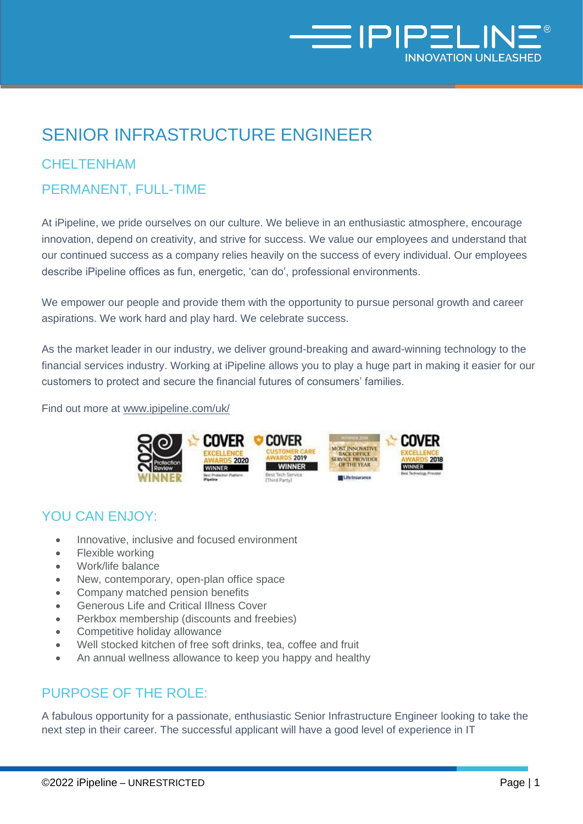

# SENIOR INFRASTRUCTURE ENGINEER

### **CHELTENHAM**

## PERMANENT, FULL-TIME

At iPipeline, we pride ourselves on our culture. We believe in an enthusiastic atmosphere, encourage innovation, depend on creativity, and strive for success. We value our employees and understand that our continued success as a company relies heavily on the success of every individual. Our employees describe iPipeline offices as fun, energetic, 'can do', professional environments.

We empower our people and provide them with the opportunity to pursue personal growth and career aspirations. We work hard and play hard. We celebrate success.

As the market leader in our industry, we deliver ground-breaking and award-winning technology to the financial services industry. Working at iPipeline allows you to play a huge part in making it easier for our customers to protect and secure the financial futures of consumers' families.

Find out more at [www.ipipeline.com/uk/](http://www.ipipeline.com/uk/) 



### YOU CAN ENJOY:

- Innovative, inclusive and focused environment
- Flexible working
- Work/life balance
- New, contemporary, open-plan office space
- Company matched pension benefits
- Generous Life and Critical Illness Cover
- Perkbox membership (discounts and freebies)
- Competitive holiday allowance
- Well stocked kitchen of free soft drinks, tea, coffee and fruit
- An annual wellness allowance to keep you happy and healthy

## PURPOSE OF THE ROLE:

A fabulous opportunity for a passionate, enthusiastic Senior Infrastructure Engineer looking to take the next step in their career. The successful applicant will have a good level of experience in IT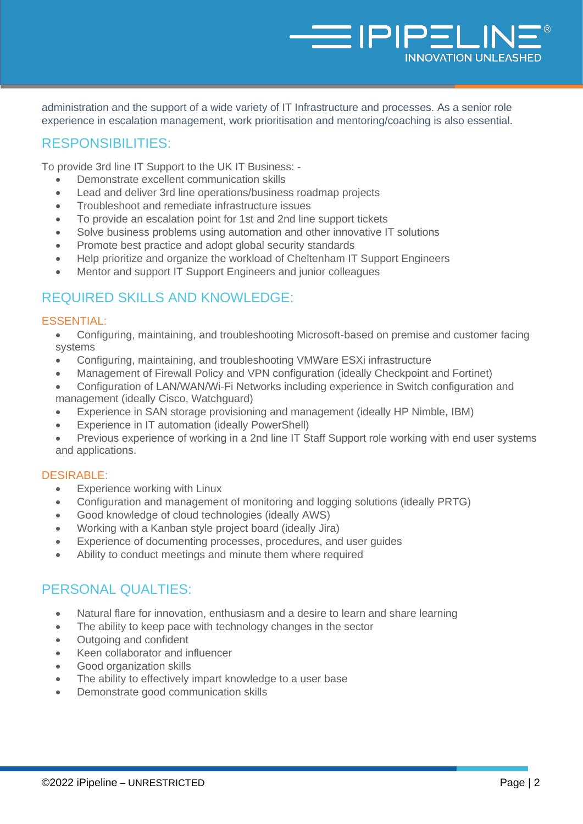administration and the support of a wide variety of IT Infrastructure and processes. As a senior role experience in escalation management, work prioritisation and mentoring/coaching is also essential.

**NO THE SET IT** 

**NNOVATION UNLEASHED** 

### RESPONSIBILITIES:

To provide 3rd line IT Support to the UK IT Business: -

- Demonstrate excellent communication skills
- Lead and deliver 3rd line operations/business roadmap projects
- Troubleshoot and remediate infrastructure issues
- To provide an escalation point for 1st and 2nd line support tickets
- Solve business problems using automation and other innovative IT solutions
- Promote best practice and adopt global security standards
- Help prioritize and organize the workload of Cheltenham IT Support Engineers
- Mentor and support IT Support Engineers and junior colleagues

### REQUIRED SKILLS AND KNOWLEDGE:

#### ESSENTIAL:

- Configuring, maintaining, and troubleshooting Microsoft-based on premise and customer facing systems
- Configuring, maintaining, and troubleshooting VMWare ESXi infrastructure
- Management of Firewall Policy and VPN configuration (ideally Checkpoint and Fortinet)
- Configuration of LAN/WAN/Wi-Fi Networks including experience in Switch configuration and management (ideally Cisco, Watchguard)
- Experience in SAN storage provisioning and management (ideally HP Nimble, IBM)
- Experience in IT automation (ideally PowerShell)
- Previous experience of working in a 2nd line IT Staff Support role working with end user systems and applications.

#### DESIRABLE:

- Experience working with Linux
- Configuration and management of monitoring and logging solutions (ideally PRTG)
- Good knowledge of cloud technologies (ideally AWS)
- Working with a Kanban style project board (ideally Jira)
- Experience of documenting processes, procedures, and user guides
- Ability to conduct meetings and minute them where required

### PERSONAL QUALTIES:

- Natural flare for innovation, enthusiasm and a desire to learn and share learning
- The ability to keep pace with technology changes in the sector
- Outgoing and confident
- Keen collaborator and influencer
- Good organization skills
- The ability to effectively impart knowledge to a user base
- Demonstrate good communication skills